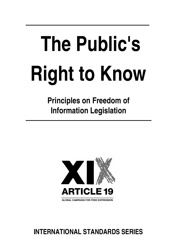# **The Public's Right to Know**

**Principles on Freedom of Information Legislation**



# **INTERNATIONAL STANDARDS SERIES**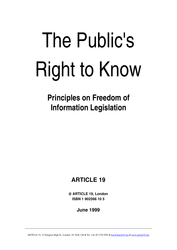# The Public's Right to Know

**Principles on Freedom of Information Legislation**

# **ARTICLE 19**

 **ARTICLE 19, London ISBN 1 902598 10 5**

**June 1999**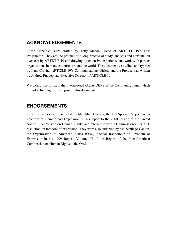### **ACKNOWLEDGEMENTS**

These Principles were drafted by Toby Mendel, Head of ARTICLE 19's Law Programme. They are the product of a long process of study, analysis and consultation overseen by ARTICLE 19 and drawing on extensive experience and work with partner organisations in many countries around the world. The document was edited and typeset by Ilana Cravitz, ARTICLE 19's Communications Officer and the Preface was written by Andrew Puddephatt, Executive Director of ARTICLE 19.

We would like to thank the International Grants Office of the Community Fund, which provided funding for the reprint of this document.

### **ENDORSEMENTS**

These Principles were endorsed by Mr. Abid Hussain, the UN Special Rapporteur on Freedom of Opinion and Expression, in his report to the 2000 session of the United Nations Commission on Human Rights, and referred to by the Commission in its 2000 resolution on freedom of expression. They were also endorsed by Mr. Santiago Canton, the Organization of American States (OAS) Special Rapporteur on Freedom of Expression in his 1999 Report, Volume III of the Report of the Inter-American Commission on Human Rights to the OAS.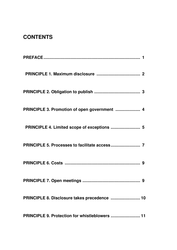# **CONTENTS**

| PRINCIPLE 3. Promotion of open government  4       |    |
|----------------------------------------------------|----|
| PRINCIPLE 4. Limited scope of exceptions  5        |    |
|                                                    |    |
|                                                    |    |
|                                                    |    |
| PRINCIPLE 8. Disclosure takes precedence  10       |    |
| <b>PRINCIPLE 9. Protection for whistleblowers </b> | 11 |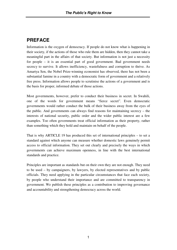# **PREFACE**

Information is the oxygen of democracy. If people do not know what is happening in their society, if the actions of those who rule them are hidden, then they cannot take a meaningful part in the affairs of that society. But information is not just a necessity for people – it is an essential part of good government. Bad government needs secrecy to survive. It allows inefficiency, wastefulness and corruption to thrive. As Amartya Sen, the Nobel Prize-winning economist has observed, there has not been a substantial famine in a country with a democratic form of government and a relatively free press. Information allows people to scrutinise the actions of a government and is the basis for proper, informed debate of those actions.

Most governments, however, prefer to conduct their business in secret. In Swahili, one of the words for government means "fierce secret". Even democratic governments would rather conduct the bulk of their business away from the eyes of the public. And governments can always find reasons for maintaining secrecy – the interests of national security, public order and the wider public interest are a few examples. Too often governments treat official information as their property, rather than something which they hold and maintain on behalf of the people.

That is why ARTICLE 19 has produced this set of international principles – to set a standard against which anyone can measure whether domestic laws genuinely permit access to official information. They set out clearly and precisely the ways in which governments can achieve maximum openness, in line with the best international standards and practice.

Principles are important as standards but on their own they are not enough. They need to be used – by campaigners, by lawyers, by elected representatives and by public officials. They need applying in the particular circumstances that face each society, by people who understand their importance and are committed to transparency in government. We publish these principles as a contribution to improving governance and accountability and strengthening democracy across the world.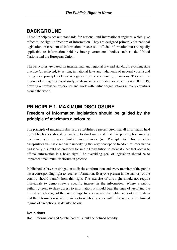## **BACKGROUND**

These Principles set out standards for national and international regimes which give effect to the right to freedom of information. They are designed primarily for national legislation on freedom of information or access to official information but are equally applicable to information held by inter-governmental bodies such as the United Nations and the European Union.

The Principles are based on international and regional law and standards, evolving state practice (as reflected, *inter alia*, in national laws and judgments of national courts) and the general principles of law recognised by the community of nations. They are the product of a long process of study, analysis and consultation overseen by ARTICLE 19, drawing on extensive experience and work with partner organisations in many countries around the world.

## **PRINCIPLE 1. MAXIMUM DISCLOSURE Freedom of information legislation should be guided by the principle of maximum disclosure**

The principle of maximum disclosure establishes a presumption that all information held by public bodies should be subject to disclosure and that this presumption may be overcome only in very limited circumstances (see Principle 4). This principle encapsulates the basic rationale underlying the very concept of freedom of information and ideally it should be provided for in the Constitution to make it clear that access to official information is a basic right. The overriding goal of legislation should be to implement maximum disclosure in practice.

Public bodies have an obligation to disclose information and every member of the public has a corresponding right to receive information. Everyone present in the territory of the country should benefit from this right. The exercise of this right should not require individuals to demonstrate a specific interest in the information. Where a public authority seeks to deny access to information, it should bear the onus of justifying the refusal at each stage of the proceedings. In other words, the public authority must show that the information which it wishes to withhold comes within the scope of the limited regime of exceptions, as detailed below.

### **Definitions**

Both 'information' and 'public bodies' should be defined broadly.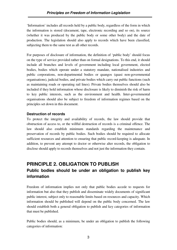'Information' includes all records held by a public body, regardless of the form in which the information is stored (document, tape, electronic recording and so on), its source (whether it was produced by the public body or some other body) and the date of production. The legislation should also apply to records which have been classified, subjecting them to the same test as all other records.

For purposes of disclosure of information, the definition of 'public body' should focus on the type of service provided rather than on formal designations. To this end, it should include all branches and levels of government including local government, elected bodies, bodies which operate under a statutory mandate, nationalised industries and public corporations, non-departmental bodies or quangos (quasi non-governmental organisations), judicial bodies, and private bodies which carry out public functions (such as maintaining roads or operating rail lines). Private bodies themselves should also be included if they hold information whose disclosure is likely to diminish the risk of harm to key public interests, such as the environment and health. Inter-governmental organisations should also be subject to freedom of information regimes based on the principles set down in this document.

### **Destruction of records**

To protect the integrity and availability of records, the law should provide that obstruction of access to, or the willful destruction of records is a criminal offence. The law should also establish minimum standards regarding the maintenance and preservation of records by public bodies. Such bodies should be required to allocate sufficient resources and attention to ensuring that public record-keeping is adequate. In addition, to prevent any attempt to doctor or otherwise alter records, the obligation to disclose should apply to records themselves and not just the information they contain.

# **PRINCIPLE 2. OBLIGATION TO PUBLISH Public bodies should be under an obligation to publish key information**

Freedom of information implies not only that public bodies accede to requests for information but also that they publish and disseminate widely documents of significant public interest, subject only to reasonable limits based on resources and capacity. Which information should be published will depend on the public body concerned. The law should establish both a general obligation to publish and key categories of information that must be published.

Public bodies should, as a minimum, be under an obligation to publish the following categories of information: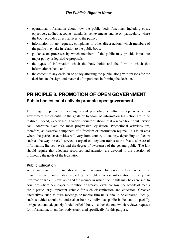- operational information about how the public body functions, including costs, objectives, audited accounts, standards, achievements and so on, particularly where the body provides direct services to the public;
- information on any requests, complaints or other direct actions which members of the public may take in relation to the public body;
- guidance on processes by which members of the public may provide input into major policy or legislative proposals;
- the types of information which the body holds and the form in which this information is held; and
- the content of any decision or policy affecting the public, along with reasons for the decision and background material of importance in framing the decision.

# **PRINCIPLE 3. PROMOTION OF OPEN GOVERNMENT Public bodies must actively promote open government**

Informing the public of their rights and promoting a culture of openness within government are essential if the goals of freedom of information legislation are to be realised. Indeed, experience in various countries shows that a recalcitrant civil service can undermine even the most progressive legislation. Promotional activities are, therefore, an essential component of a freedom of information regime. This is an area where the particular activities will vary from country to country, depending on factors such as the way the civil service is organised, key constraints to the free disclosure of information, literacy levels and the degree of awareness of the general public. The law should require that adequate resources and attention are devoted to the question of promoting the goals of the legislation.

### **Public Education**

As a minimum, the law should make provision for public education and the dissemination of information regarding the right to access information, the scope of information which is available and the manner in which such rights may be exercised. In countries where newspaper distribution or literacy levels are low, the broadcast media are a particularly important vehicle for such dissemination and education. Creative alternatives, such as town meetings or mobile film units, should be explored. Ideally, such activities should be undertaken both by individual public bodies and a specially designated and adequately funded official body – either the one which reviews requests for information, or another body established specifically for this purpose.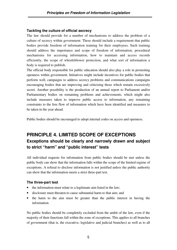### **Tackling the culture of official secrecy**

The law should provide for a number of mechanisms to address the problem of a culture of secrecy within government. These should include a requirement that public bodies provide freedom of information training for their employees. Such training should address the importance and scope of freedom of information, procedural mechanisms for accessing information, how to maintain and access records efficiently, the scope of whistleblower protection, and what sort of information a body is required to publish.

The official body responsible for public education should also play a role in promoting openness within government. Initiatives might include incentives for public bodies that perform well, campaigns to address secrecy problems and communications campaigns encouraging bodies that are improving and criticising those which remain excessively secret. Another possibility is the production of an annual report to Parliament and/or Parliamentary bodies on remaining problems and achievements, which might also include measures taken to improve public access to information, any remaining constraints to the free flow of information which have been identified and measures to be taken in the year ahead.

Public bodies should be encouraged to adopt internal codes on access and openness.

# **PRINCIPLE 4. LIMITED SCOPE OF EXCEPTIONS Exceptions should be clearly and narrowly drawn and subject to strict "harm" and "public interest" tests**

All individual requests for information from public bodies should be met unless the public body can show that the information falls within the scope of the limited regime of exceptions. A refusal to disclose information is not justified unless the public authority can show that the information meets a strict three-part test.

### **The three-part test**

- the information must relate to a legitimate aim listed in the law;
- disclosure must threaten to cause substantial harm to that aim; and
- the harm to the aim must be greater than the public interest in having the information.

No public bodies should be completely excluded from the ambit of the law, even if the majority of their functions fall within the zone of exceptions. This applies to all branches of government (that is, the executive, legislative and judicial branches) as well as to all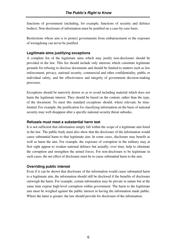functions of government (including, for example, functions of security and defence bodies). Non-disclosure of information must be justified on a case-by-case basis.

Restrictions whose aim is to protect governments from embarrassment or the exposure of wrongdoing can never be justified.

### **Legitimate aims justifying exceptions**

A complete list of the legitimate aims which may justify non-disclosure should be provided in the law. This list should include only interests which constitute legitimate grounds for refusing to disclose documents and should be limited to matters such as law enforcement, privacy, national security, commercial and other confidentiality, public or individual safety, and the effectiveness and integrity of government decision-making processes.

Exceptions should be narrowly drawn so as to avoid including material which does not harm the legitimate interest. They should be based on the content, rather than the type, of the document. To meet this standard exceptions should, where relevant, be timelimited. For example, the justification for classifying information on the basis of national security may well disappear after a specific national security threat subsides.

### **Refusals must meet a substantial harm test**

It is not sufficient that information simply fall within the scope of a legitimate aim listed in the law. The public body must also show that the disclosure of the information would cause substantial harm to that legitimate aim. In some cases, disclosure may benefit as well as harm the aim. For example, the exposure of corruption in the military may at first sight appear to weaken national defence but actually, over time, help to eliminate the corruption and strengthen the armed forces. For non-disclosure to be legitimate in such cases, the net effect of disclosure must be to cause substantial harm to the aim.

### **Overriding public interest**

Even if it can be shown that disclosure of the information would cause substantial harm to a legitimate aim, the information should still be disclosed if the benefits of disclosure outweigh the harm. For example, certain information may be private in nature but at the same time expose high-level corruption within government. The harm to the legitimate aim must be weighed against the public interest in having the information made public. Where the latter is greater, the law should provide for disclosure of the information.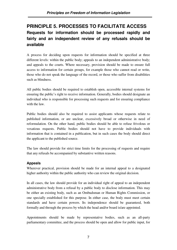# **PRINCIPLE 5. PROCESSES TO FACILITATE ACCESS Requests for information should be processed rapidly and fairly and an independent review of any refusals should be available**

A process for deciding upon requests for information should be specified at three different levels: within the public body; appeals to an independent administrative body; and appeals to the courts. Where necessary, provision should be made to ensure full access to information for certain groups, for example those who cannot read or write, those who do not speak the language of the record, or those who suffer from disabilities such as blindness.

All public bodies should be required to establish open, accessible internal systems for ensuring the public's right to receive information. Generally, bodies should designate an individual who is responsible for processing such requests and for ensuring compliance with the law.

Public bodies should also be required to assist applicants whose requests relate to published information, or are unclear, excessively broad or otherwise in need of reformulation. On the other hand, public bodies should be able to refuse frivolous or vexatious requests. Public bodies should not have to provide individuals with information that is contained in a publication, but in such cases the body should direct the applicant to the published source.

The law should provide for strict time limits for the processing of requests and require that any refusals be accompanied by substantive written reasons.

### **Appeals**

Wherever practical, provision should be made for an internal appeal to a designated higher authority within the public authority who can review the original decision.

In all cases, the law should provide for an individual right of appeal to an independent administrative body from a refusal by a public body to disclose information. This may be either an existing body, such as an Ombudsman or Human Rights Commission, or one specially established for this purpose. In either case, the body must meet certain standards and have certain powers. Its independence should be guaranteed, both formally and through the process by which the head and/or board is/are appointed.

Appointments should be made by representative bodies, such as an all-party parliamentary committee, and the process should be open and allow for public input, for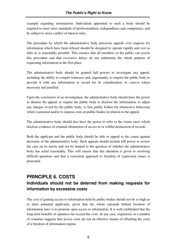example regarding nominations. Individuals appointed to such a body should be required to meet strict standards of professionalism, independence and competence, and be subject to strict conflict of interest rules.

The procedure by which the administrative body processes appeals over requests for information which have been refused should be designed to operate rapidly and cost as little as is reasonably possible. This ensures that all members of the public can access this procedure and that excessive delays do not undermine the whole purpose of requesting information in the first place.

The administrative body should be granted full powers to investigate any appeal, including the ability to compel witnesses and, importantly, to require the public body to provide it with any information or record for its consideration, *in camera* where necessary and justified.

Upon the conclusion of an investigation, the administrative body should have the power to dismiss the appeal, to require the public body to disclose the information, to adjust any charges levied by the public body, to fine public bodies for obstructive behaviour where warranted and/or to impose costs on public bodies in relation to the appeal.

The administrative body should also have the power to refer to the courts cases which disclose evidence of criminal obstruction of access to or willful destruction of records.

Both the applicant and the public body should be able to appeal to the courts against decisions of the administrative body. Such appeals should include full power to review the case on its merits and not be limited to the question of whether the administrative body has acted reasonably. This will ensure that due attention is given to resolving difficult questions and that a consistent approach to freedom of expression issues is promoted.

# **PRINCIPLE 6. COSTS Individuals should not be deterred from making requests for information by excessive costs**

The cost of gaining access to information held by public bodies should not be so high as to deter potential applicants, given that the whole rationale behind freedom of information laws is to promote open access to information. It is well established that the long-term benefits of openness far exceed the costs. In any case, experience in a number of countries suggests that access costs are not an effective means of offsetting the costs of a freedom of information regime.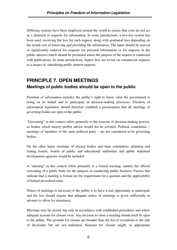Differing systems have been employed around the world to ensure that costs do not act as a deterrent to requests for information. In some jurisdictions, a two-tier system has been used, involving flat fees for each request, along with graduated fees depending on the actual cost of retrieving and providing the information. The latter should be waived or significantly reduced for requests for personal information or for requests in the public interest (which should be presumed where the purpose of the request is connected with publication). In some jurisdictions, higher fees are levied on commercial requests as a means of subsidising public interest requests.

# **PRINCIPLE 7. OPEN MEETINGS Meetings of public bodies should be open to the public**

Freedom of information includes the public's right to know what the government is doing on its behalf and to participate in decision-making processes. Freedom of information legislation should therefore establish a presumption that all meetings of governing bodies are open to the public.

"Governing" in this context refers primarily to the exercise of decision-making powers, so bodies which merely proffer advice would not be covered. Political committees – meetings of members of the same political party – are not considered to be governing bodies.

On the other hand, meetings of elected bodies and their committees, planning and zoning boards, boards of public and educational authorities and public industrial development agencies would be included.

A "meeting" in this context refers primarily to a formal meeting, namely the official convening of a public body for the purpose of conducting public business. Factors that indicate that a meeting is formal are the requirement for a quorum and the applicability of formal procedural rules.

Notice of meetings is necessary if the public is to have a real opportunity to participate and the law should require that adequate notice of meetings is given sufficiently in advance to allow for attendance.

Meetings may be closed, but only in accordance with established procedures and where adequate reasons for closure exist. Any decision to close a meeting should itself be open to the public. The grounds for closure are broader than the list of exceptions to the rule of disclosure but are not unlimited. Reasons for closure might, in appropriate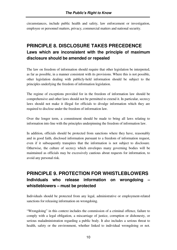circumstances, include public health and safety, law enforcement or investigation, employee or personnel matters, privacy, commercial matters and national security.

# **PRINCIPLE 8. DISCLOSURE TAKES PRECEDENCE Laws which are inconsistent with the principle of maximum disclosure should be amended or repealed**

The law on freedom of information should require that other legislation be interpreted, as far as possible, in a manner consistent with its provisions. Where this is not possible, other legislation dealing with publicly-held information should be subject to the principles underlying the freedom of information legislation.

The regime of exceptions provided for in the freedom of information law should be comprehensive and other laws should not be permitted to extend it. In particular, secrecy laws should not make it illegal for officials to divulge information which they are required to disclose under the freedom of information law.

Over the longer term, a commitment should be made to bring all laws relating to information into line with the principles underpinning the freedom of information law.

In addition, officials should be protected from sanctions where they have, reasonably and in good faith, disclosed information pursuant to a freedom of information request, even if it subsequently transpires that the information is not subject to disclosure. Otherwise, the culture of secrecy which envelopes many governing bodies will be maintained as officials may be excessively cautious about requests for information, to avoid any personal risk.

## **PRINCIPLE 9. PROTECTION FOR WHISTLEBLOWERS Individuals who release information on wrongdoing – whistleblowers – must be protected**

Individuals should be protected from any legal, administrative or employment-related sanctions for releasing information on wrongdoing.

"Wrongdoing" in this context includes the commission of a criminal offence, failure to comply with a legal obligation, a miscarriage of justice, corruption or dishonesty, or serious maladministration regarding a public body. It also includes a serious threat to health, safety or the environment, whether linked to individual wrongdoing or not.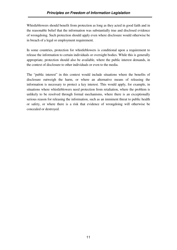Whistleblowers should benefit from protection as long as they acted in good faith and in the reasonable belief that the information was substantially true and disclosed evidence of wrongdoing. Such protection should apply even where disclosure would otherwise be in breach of a legal or employment requirement.

In some countries, protection for whistleblowers is conditional upon a requirement to release the information to certain individuals or oversight bodies. While this is generally appropriate, protection should also be available, where the public interest demands, in the context of disclosure to other individuals or even to the media.

The "public interest" in this context would include situations where the benefits of disclosure outweigh the harm, or where an alternative means of releasing the information is necessary to protect a key interest. This would apply, for example, in situations where whistleblowers need protection from retaliation, where the problem is unlikely to be resolved through formal mechanisms, where there is an exceptionally serious reason for releasing the information, such as an imminent threat to public health or safety, or where there is a risk that evidence of wrongdoing will otherwise be concealed or destroyed.